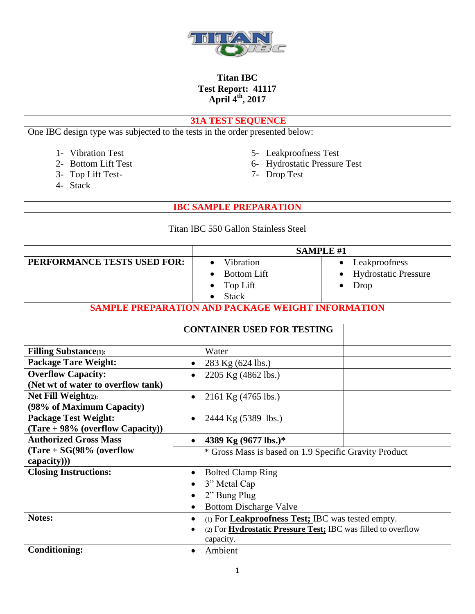

### **31A TEST SEQUENCE**

One IBC design type was subjected to the tests in the order presented below:

- 
- 
- 3- Top Lift Test-
- 4- Stack
- 1- Vibration Test 5- Leakproofness Test<br>
2- Bottom Lift Test 6- Hydrostatic Pressure
	- 6- Hydrostatic Pressure Test<br>7- Drop Test
	-

**IBC SAMPLE PREPARATION**

#### Titan IBC 550 Gallon Stainless Steel

|                                                                    | <b>SAMPLE #1</b>                                                                                                                                            |                                                                   |
|--------------------------------------------------------------------|-------------------------------------------------------------------------------------------------------------------------------------------------------------|-------------------------------------------------------------------|
| PERFORMANCE TESTS USED FOR:                                        | Vibration<br><b>Bottom Lift</b><br>Top Lift<br><b>Stack</b><br><b>SAMPLE PREPARATION AND PACKAGE WEIGHT INFORMATION</b>                                     | Leakproofness<br>$\bullet$<br><b>Hydrostatic Pressure</b><br>Drop |
|                                                                    | <b>CONTAINER USED FOR TESTING</b>                                                                                                                           |                                                                   |
| <b>Filling Substance</b> (1):                                      | Water                                                                                                                                                       |                                                                   |
| <b>Package Tare Weight:</b>                                        | 283 Kg (624 lbs.)<br>$\bullet$                                                                                                                              |                                                                   |
| <b>Overflow Capacity:</b>                                          | 2205 Kg (4862 lbs.)<br>$\bullet$                                                                                                                            |                                                                   |
| (Net wt of water to overflow tank)                                 |                                                                                                                                                             |                                                                   |
| Net Fill Weight $(2)$ :<br>(98% of Maximum Capacity)               | 2161 Kg (4765 lbs.)<br>$\bullet$                                                                                                                            |                                                                   |
| <b>Package Test Weight:</b><br>$(Tare + 98\%$ (overflow Capacity)) | 2444 Kg (5389 lbs.)<br>$\bullet$                                                                                                                            |                                                                   |
| <b>Authorized Gross Mass</b>                                       | 4389 Kg (9677 lbs.)*<br>$\bullet$                                                                                                                           |                                                                   |
| $Tare + SG(98\%)$ (overflow<br>capacity))                          | * Gross Mass is based on 1.9 Specific Gravity Product                                                                                                       |                                                                   |
| <b>Closing Instructions:</b>                                       | <b>Bolted Clamp Ring</b><br>$\bullet$<br>3" Metal Cap                                                                                                       |                                                                   |
|                                                                    | 2" Bung Plug<br>$\bullet$                                                                                                                                   |                                                                   |
|                                                                    | <b>Bottom Discharge Valve</b>                                                                                                                               |                                                                   |
| <b>Notes:</b>                                                      | (1) For <b>Leakproofness Test;</b> IBC was tested empty.<br>$\bullet$<br>(2) For <i>Hydrostatic Pressure Test</i> : IBC was filled to overflow<br>capacity. |                                                                   |
| <b>Conditioning:</b>                                               | Ambient<br>$\bullet$                                                                                                                                        |                                                                   |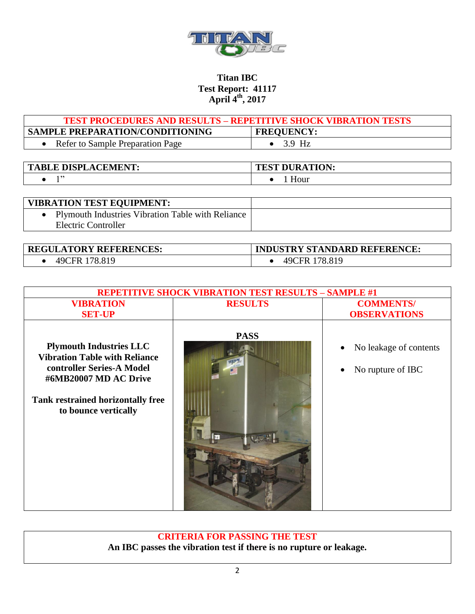

| <b>TEST PROCEDURES AND RESULTS – REPETITIVE SHOCK VIBRATION TESTS</b> |                   |  |
|-----------------------------------------------------------------------|-------------------|--|
| <b>SAMPLE PREPARATION/CONDITIONING</b>                                | <b>FREQUENCY:</b> |  |
| Refer to Sample Preparation Page                                      | $\bullet$ 3.9 Hz  |  |

| <b>E DISPL</b><br><b>LACEMENT:</b><br>$\mathbf{T}$<br><b>BLE L</b> | <b>TEST DURATION:</b> |
|--------------------------------------------------------------------|-----------------------|
| ,,                                                                 | Hour                  |

| <b>VIBRATION TEST EQUIPMENT:</b>                         |  |
|----------------------------------------------------------|--|
| <b>Plymouth Industries Vibration Table with Reliance</b> |  |
| Electric Controller                                      |  |

| <b>REGULATORY REFERENCES:</b> | <b>INDUSTRY STANDARD REFERENCE:</b> |
|-------------------------------|-------------------------------------|
| 49CFR 178.819                 | 49CFR 178.819                       |

| <b>REPETITIVE SHOCK VIBRATION TEST RESULTS - SAMPLE #1</b>                                                                                                                                |                |                                             |
|-------------------------------------------------------------------------------------------------------------------------------------------------------------------------------------------|----------------|---------------------------------------------|
| <b>VIBRATION</b>                                                                                                                                                                          | <b>RESULTS</b> | <b>COMMENTS/</b>                            |
| <b>SET-UP</b>                                                                                                                                                                             |                | <b>OBSERVATIONS</b>                         |
| <b>Plymouth Industries LLC</b><br><b>Vibration Table with Reliance</b><br>controller Series-A Model<br>#6MB20007 MD AC Drive<br>Tank restrained horizontally free<br>to bounce vertically | <b>PASS</b>    | No leakage of contents<br>No rupture of IBC |

**CRITERIA FOR PASSING THE TEST An IBC passes the vibration test if there is no rupture or leakage.**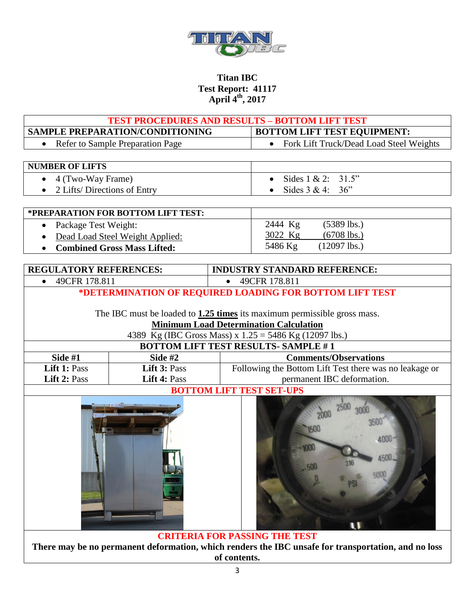

|                                                                                  |                                    | <b>TEST PROCEDURES AND RESULTS - BOTTOM LIFT TEST</b><br><b>BOTTOM LIFT TEST EQUIPMENT:</b>                                                                                                                                              |
|----------------------------------------------------------------------------------|------------------------------------|------------------------------------------------------------------------------------------------------------------------------------------------------------------------------------------------------------------------------------------|
| SAMPLE PREPARATION/CONDITIONING<br>Refer to Sample Preparation Page<br>$\bullet$ |                                    | Fork Lift Truck/Dead Load Steel Weights<br>$\bullet$                                                                                                                                                                                     |
|                                                                                  |                                    |                                                                                                                                                                                                                                          |
| <b>NUMBER OF LIFTS</b>                                                           |                                    |                                                                                                                                                                                                                                          |
| 4 (Two-Way Frame)<br>$\bullet$                                                   |                                    | Sides $1 & 2$ :<br>31.5"                                                                                                                                                                                                                 |
| 2 Lifts/ Directions of Entry                                                     |                                    | Sides $3 & 4$ :<br>36"                                                                                                                                                                                                                   |
|                                                                                  |                                    |                                                                                                                                                                                                                                          |
|                                                                                  | *PREPARATION FOR BOTTOM LIFT TEST: |                                                                                                                                                                                                                                          |
| Package Test Weight:<br>$\bullet$                                                |                                    | $(5389$ lbs.)<br>2444 Kg                                                                                                                                                                                                                 |
|                                                                                  | Dead Load Steel Weight Applied:    | 3022 Kg<br>$(6708$ lbs.)                                                                                                                                                                                                                 |
|                                                                                  | <b>Combined Gross Mass Lifted:</b> | 5486 Kg<br>$(12097$ lbs.)                                                                                                                                                                                                                |
|                                                                                  |                                    |                                                                                                                                                                                                                                          |
| <b>REGULATORY REFERENCES:</b>                                                    |                                    | <b>INDUSTRY STANDARD REFERENCE:</b>                                                                                                                                                                                                      |
| 49CFR 178.811                                                                    |                                    | 49CFR 178.811<br>*DETERMINATION OF REQUIRED LOADING FOR BOTTOM LIFT TEST                                                                                                                                                                 |
|                                                                                  |                                    | The IBC must be loaded to <b>1.25 times</b> its maximum permissible gross mass.<br><b>Minimum Load Determination Calculation</b><br>4389 Kg (IBC Gross Mass) x 1.25 = 5486 Kg (12097 lbs.)<br><b>BOTTOM LIFT TEST RESULTS- SAMPLE #1</b> |
| Side #1                                                                          | Side $#2$                          | <b>Comments/Observations</b>                                                                                                                                                                                                             |
| Lift 1: Pass                                                                     | Lift 3: Pass                       | Following the Bottom Lift Test there was no leakage or                                                                                                                                                                                   |
| Lift 2: Pass                                                                     | Lift 4: Pass                       | permanent IBC deformation.                                                                                                                                                                                                               |
|                                                                                  |                                    | <b>BOTTOM LIFT TEST SET-UPS</b>                                                                                                                                                                                                          |
|                                                                                  |                                    | 4500.<br>500<br>500                                                                                                                                                                                                                      |
|                                                                                  |                                    | <b>CRITERIA FOR PASSING THE TEST</b>                                                                                                                                                                                                     |

**There may be no permanent deformation, which renders the IBC unsafe for transportation, and no loss of contents.**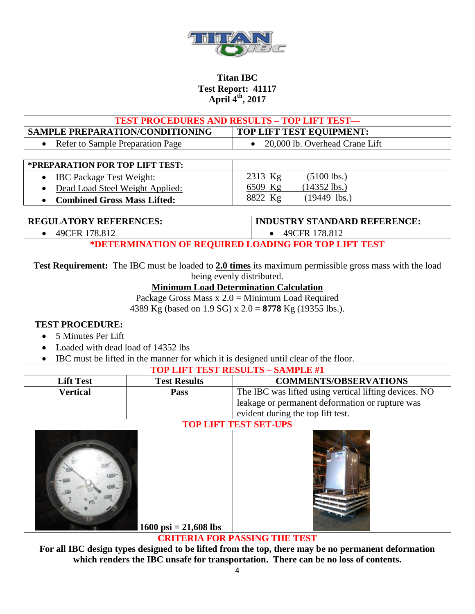

| <b>TEST PROCEDURES AND RESULTS - TOP LIFT TEST-</b>                                                                                                                                                                                               |                       |                                                                                      |
|---------------------------------------------------------------------------------------------------------------------------------------------------------------------------------------------------------------------------------------------------|-----------------------|--------------------------------------------------------------------------------------|
| <b>SAMPLE PREPARATION/CONDITIONING</b>                                                                                                                                                                                                            |                       | TOP LIFT TEST EQUIPMENT:                                                             |
| Refer to Sample Preparation Page                                                                                                                                                                                                                  |                       | 20,000 lb. Overhead Crane Lift<br>$\bullet$                                          |
|                                                                                                                                                                                                                                                   |                       |                                                                                      |
| *PREPARATION FOR TOP LIFT TEST:                                                                                                                                                                                                                   |                       |                                                                                      |
| IBC Package Test Weight:<br>$\bullet$                                                                                                                                                                                                             |                       | $(5100$ lbs.)<br>2313 Kg                                                             |
| Dead Load Steel Weight Applied:                                                                                                                                                                                                                   |                       | 6509 Kg<br>$(14352$ lbs.)                                                            |
| <b>Combined Gross Mass Lifted:</b>                                                                                                                                                                                                                |                       | 8822 Kg<br>$(19449$ lbs.)                                                            |
| <b>REGULATORY REFERENCES:</b>                                                                                                                                                                                                                     |                       | <b>INDUSTRY STANDARD REFERENCE:</b>                                                  |
| 49CFR 178.812                                                                                                                                                                                                                                     |                       | 49CFR 178.812                                                                        |
|                                                                                                                                                                                                                                                   |                       | *DETERMINATION OF REQUIRED LOADING FOR TOP LIFT TEST                                 |
| <b>Test Requirement:</b> The IBC must be loaded to 2.0 times its maximum permissible gross mass with the load<br>being evenly distributed.<br><b>Minimum Load Determination Calculation</b><br>Package Gross Mass $x 2.0$ = Minimum Load Required |                       |                                                                                      |
|                                                                                                                                                                                                                                                   |                       | 4389 Kg (based on 1.9 SG) x 2.0 = 8778 Kg (19355 lbs.).                              |
| <b>TEST PROCEDURE:</b>                                                                                                                                                                                                                            |                       |                                                                                      |
| 5 Minutes Per Lift                                                                                                                                                                                                                                |                       |                                                                                      |
| Loaded with dead load of 14352 lbs                                                                                                                                                                                                                |                       |                                                                                      |
|                                                                                                                                                                                                                                                   |                       | IBC must be lifted in the manner for which it is designed until clear of the floor.  |
|                                                                                                                                                                                                                                                   |                       | <b>TOP LIFT TEST RESULTS - SAMPLE #1</b>                                             |
| <b>Lift Test</b>                                                                                                                                                                                                                                  | <b>Test Results</b>   | <b>COMMENTS/OBSERVATIONS</b>                                                         |
| <b>Vertical</b>                                                                                                                                                                                                                                   | Pass                  | The IBC was lifted using vertical lifting devices. NO                                |
|                                                                                                                                                                                                                                                   |                       | leakage or permanent deformation or rupture was<br>evident during the top lift test. |
|                                                                                                                                                                                                                                                   |                       | <b>TOP LIFT TEST SET-UPS</b>                                                         |
| $4000 -$<br>1500_                                                                                                                                                                                                                                 | 1600 psi = 21,608 lbs | <b>CRITERIA FOR PASSING THE TEST</b>                                                 |
| For all IBC design types designed to be lifted from the top, there may be no permanent deformation                                                                                                                                                |                       |                                                                                      |
| which renders the IBC unsafe for transportation. There can be no loss of contents.                                                                                                                                                                |                       |                                                                                      |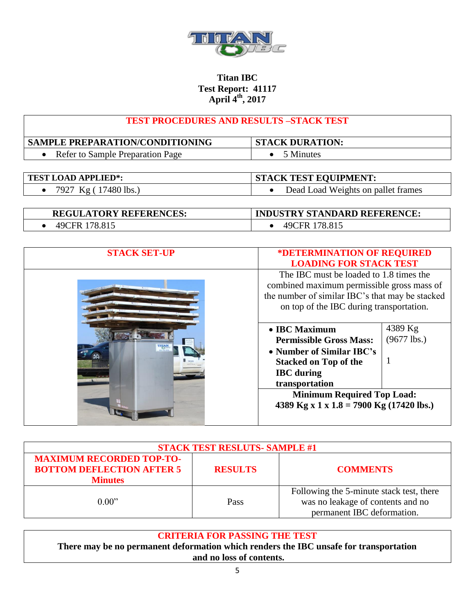

| <b>TEST PROCEDURES AND RESULTS -STACK TEST</b> |  |
|------------------------------------------------|--|
|                                                |  |

| <b>SAMPLE PREPARATION/CONDITIONING</b> | <b>STACK DURATION:</b> |
|----------------------------------------|------------------------|
| Refer to Sample Preparation Page       | Minutes                |

| <b>TEST LOAD APPLIED*:</b> | <b>STACK TEST EQUIPMENT:</b>       |
|----------------------------|------------------------------------|
| • 7927 Kg (17480 lbs.)     | Dead Load Weights on pallet frames |
|                            |                                    |

| <b>REGULATORY REFERENCES:</b> | <b>INDUSTRY STANDARD REFERENCE:</b> |
|-------------------------------|-------------------------------------|
| 49CFR 178.815                 | 49CFR 178.815                       |

| <b>STACK SET-UP</b> | *DETERMINATION OF REQUIRED                                                                                                                                                           |                          |
|---------------------|--------------------------------------------------------------------------------------------------------------------------------------------------------------------------------------|--------------------------|
|                     | <b>LOADING FOR STACK TEST</b>                                                                                                                                                        |                          |
|                     | The IBC must be loaded to 1.8 times the<br>combined maximum permissible gross mass of<br>the number of similar IBC's that may be stacked<br>on top of the IBC during transportation. |                          |
| <b>TITA</b>         | • IBC Maximum<br><b>Permissible Gross Mass:</b><br>• Number of Similar IBC's<br><b>Stacked on Top of the</b><br><b>IBC</b> during<br>transportation                                  | 4389 Kg<br>$(9677$ lbs.) |
|                     | <b>Minimum Required Top Load:</b><br>4389 Kg x 1 x 1.8 = 7900 Kg (17420 lbs.)                                                                                                        |                          |

| <b>STACK TEST RESLUTS- SAMPLE #1</b>                                                  |                |                                                                                                             |
|---------------------------------------------------------------------------------------|----------------|-------------------------------------------------------------------------------------------------------------|
| <b>MAXIMUM RECORDED TOP-TO-</b><br><b>BOTTOM DEFLECTION AFTER 5</b><br><b>Minutes</b> | <b>RESULTS</b> | <b>COMMENTS</b>                                                                                             |
| 0.00"                                                                                 | Pass           | Following the 5-minute stack test, there<br>was no leakage of contents and no<br>permanent IBC deformation. |

# **CRITERIA FOR PASSING THE TEST**

**There may be no permanent deformation which renders the IBC unsafe for transportation and no loss of contents.**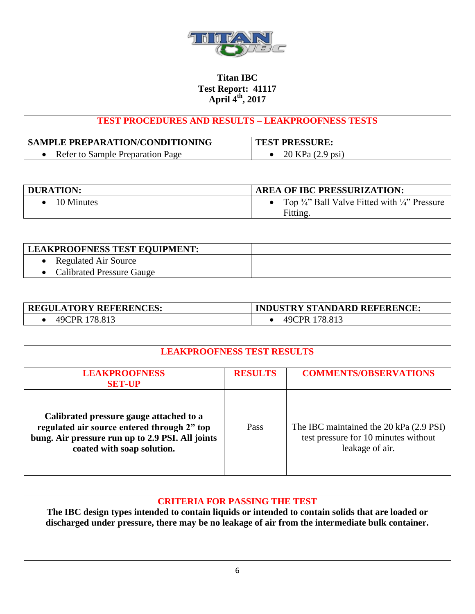

## **TEST PROCEDURES AND RESULTS – LEAKPROOFNESS TESTS**

| <b>SAMPLE PREPARATION/CONDITIONING</b> | <b>TEST PRESSURE:</b> |
|----------------------------------------|-----------------------|
| Refer to Sample Preparation Page       | 20 KPa (2.9 psi)      |

| DURATION:  | <b>AREA OF IBC PRESSURIZATION:</b>                                              |
|------------|---------------------------------------------------------------------------------|
| 10 Minutes | Top $\frac{3}{4}$ " Ball Valve Fitted with $\frac{1}{4}$ " Pressure<br>Fitting. |

| <b>LEAKPROOFNESS TEST EQUIPMENT:</b> |  |
|--------------------------------------|--|
| <b>Regulated Air Source</b>          |  |
| • Calibrated Pressure Gauge          |  |

| <b>REGULATORY REFERENCES:</b> | <b>INDUSTRY STANDARD REFERENCE:</b> |
|-------------------------------|-------------------------------------|
| 49CPR 178.813                 | 49CPR 178.813                       |

| <b>LEAKPROOFNESS TEST RESULTS</b>                                                                                                                                        |                |                                                                                                    |
|--------------------------------------------------------------------------------------------------------------------------------------------------------------------------|----------------|----------------------------------------------------------------------------------------------------|
| <b>LEAKPROOFNESS</b><br><b>SET-UP</b>                                                                                                                                    | <b>RESULTS</b> | <b>COMMENTS/OBSERVATIONS</b>                                                                       |
| Calibrated pressure gauge attached to a<br>regulated air source entered through 2" top<br>bung. Air pressure run up to 2.9 PSI. All joints<br>coated with soap solution. | Pass           | The IBC maintained the 20 kPa (2.9 PSI)<br>test pressure for 10 minutes without<br>leakage of air. |

## **CRITERIA FOR PASSING THE TEST**

**The IBC design types intended to contain liquids or intended to contain solids that are loaded or discharged under pressure, there may be no leakage of air from the intermediate bulk container.**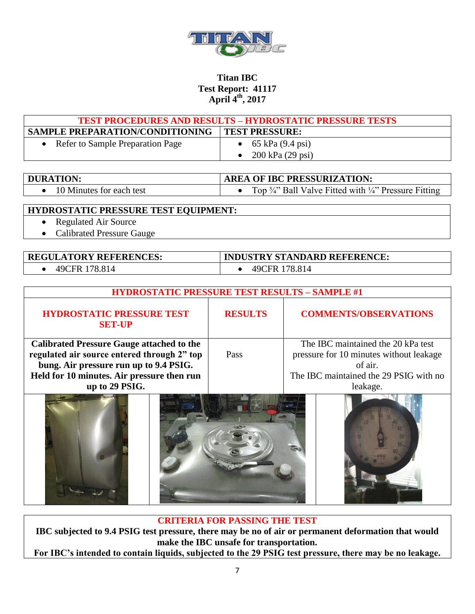

| <b>TEST PROCEDURES AND RESULTS - HYDROSTATIC PRESSURE TESTS</b> |                                      |  |
|-----------------------------------------------------------------|--------------------------------------|--|
| <b>SAMPLE PREPARATION/CONDITIONING</b>                          | <b>TEST PRESSURE:</b>                |  |
| Refer to Sample Preparation Page                                | • $65 \text{ kPa} (9.4 \text{ psi})$ |  |
|                                                                 | • 200 kPa $(29 \text{ psi})$         |  |

| <b>DURATION:</b>         | <b>AREA OF IBC PRESSURIZATION:</b>                                          |
|--------------------------|-----------------------------------------------------------------------------|
| 10 Minutes for each test | Top $\frac{3}{4}$ . Ball Valve Fitted with $\frac{1}{4}$ . Pressure Fitting |

### **HYDROSTATIC PRESSURE TEST EQUIPMENT:**

- Regulated Air Source
- Calibrated Pressure Gauge

| <b>REGULATORY REFERENCES:</b> | <b>INDUSTRY STANDARD REFERENCE:</b> |
|-------------------------------|-------------------------------------|
| 49CFR 178.814                 | 49CFR 178.814                       |

| <b>HYDROSTATIC PRESSURE TEST RESULTS - SAMPLE #1</b> |                |                                         |
|------------------------------------------------------|----------------|-----------------------------------------|
| <b>HYDROSTATIC PRESSURE TEST</b><br><b>SET-UP</b>    | <b>RESULTS</b> | <b>COMMENTS/OBSERVATIONS</b>            |
| <b>Calibrated Pressure Gauge attached to the</b>     |                | The IBC maintained the 20 kPa test      |
| regulated air source entered through 2" top          | Pass           | pressure for 10 minutes without leakage |
| bung. Air pressure run up to 9.4 PSIG.               |                | of air.                                 |
| Held for 10 minutes. Air pressure then run           |                | The IBC maintained the 29 PSIG with no  |
| up to 29 PSIG.                                       |                | leakage.                                |
|                                                      |                |                                         |

#### **CRITERIA FOR PASSING THE TEST**

**IBC subjected to 9.4 PSIG test pressure, there may be no of air or permanent deformation that would make the IBC unsafe for transportation.**

**For IBC's intended to contain liquids, subjected to the 29 PSIG test pressure, there may be no leakage.**